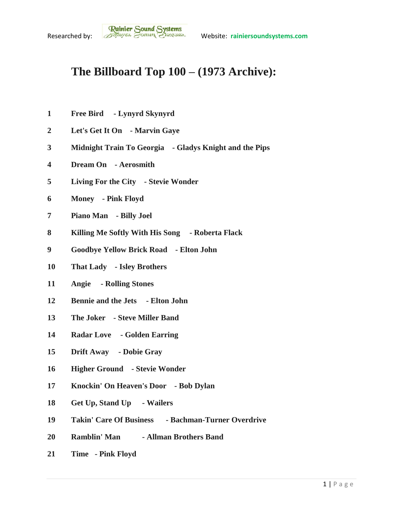## **The Billboard Top 100 – (1973 Archive):**

- **Free Bird - Lynyrd Skynyrd**
- **Let's Get It On - Marvin Gaye**
- **Midnight Train To Georgia - Gladys Knight and the Pips**
- **Dream On - Aerosmith**
- **Living For the City - Stevie Wonder**
- **Money - Pink Floyd**
- **Piano Man - Billy Joel**
- **Killing Me Softly With His Song - Roberta Flack**
- **Goodbye Yellow Brick Road - Elton John**
- **That Lady - Isley Brothers**
- **Angie - Rolling Stones**
- **Bennie and the Jets - Elton John**
- **The Joker - Steve Miller Band**
- **Radar Love - Golden Earring**
- **Drift Away - Dobie Gray**
- **Higher Ground - Stevie Wonder**
- **Knockin' On Heaven's Door - Bob Dylan**
- **Get Up, Stand Up - Wailers**
- **Takin' Care Of Business - Bachman-Turner Overdrive**
- **Ramblin' Man - Allman Brothers Band**
- **Time - Pink Floyd**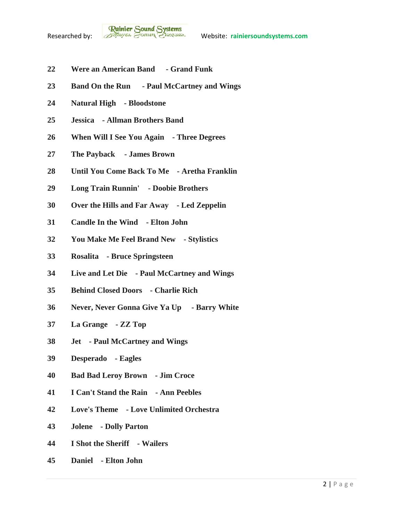- **Were an American Band - Grand Funk**
- **Band On the Run - Paul McCartney and Wings**
- **Natural High - Bloodstone**
- **Jessica - Allman Brothers Band**
- **When Will I See You Again - Three Degrees**
- **The Payback - James Brown**
- **Until You Come Back To Me - Aretha Franklin**
- **Long Train Runnin' - Doobie Brothers**
- **Over the Hills and Far Away - Led Zeppelin**
- **Candle In the Wind - Elton John**
- **You Make Me Feel Brand New - Stylistics**
- **Rosalita - Bruce Springsteen**
- **Live and Let Die - Paul McCartney and Wings**
- **Behind Closed Doors - Charlie Rich**
- **Never, Never Gonna Give Ya Up - Barry White**
- **La Grange - ZZ Top**
- **Jet - Paul McCartney and Wings**
- **Desperado - Eagles**
- **Bad Bad Leroy Brown - Jim Croce**
- **I Can't Stand the Rain - Ann Peebles**
- **Love's Theme - Love Unlimited Orchestra**
- **Jolene - Dolly Parton**
- **I Shot the Sheriff - Wailers**
- **Daniel - Elton John**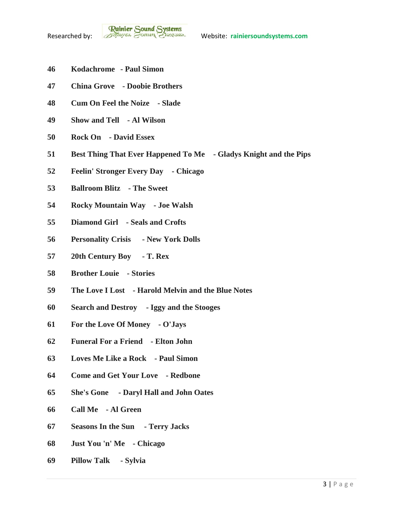- **Kodachrome - Paul Simon**
- **China Grove - Doobie Brothers**
- **Cum On Feel the Noize - Slade**
- **Show and Tell - Al Wilson**
- **Rock On - David Essex**
- **Best Thing That Ever Happened To Me - Gladys Knight and the Pips**
- **Feelin' Stronger Every Day - Chicago**
- **Ballroom Blitz - The Sweet**
- **Rocky Mountain Way - Joe Walsh**
- **Diamond Girl - Seals and Crofts**
- **Personality Crisis - New York Dolls**
- **20th Century Boy - T. Rex**
- **Brother Louie - Stories**
- **The Love I Lost - Harold Melvin and the Blue Notes**
- **Search and Destroy - Iggy and the Stooges**
- **For the Love Of Money - O'Jays**
- **Funeral For a Friend - Elton John**
- **Loves Me Like a Rock - Paul Simon**
- **Come and Get Your Love - Redbone**
- **She's Gone - Daryl Hall and John Oates**
- **Call Me - Al Green**
- **Seasons In the Sun - Terry Jacks**
- **Just You 'n' Me - Chicago**
- **Pillow Talk - Sylvia**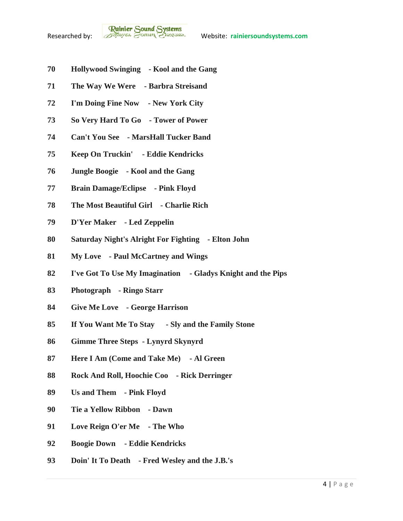- **Hollywood Swinging - Kool and the Gang**
- **The Way We Were - Barbra Streisand**
- **I'm Doing Fine Now - New York City**
- **So Very Hard To Go - Tower of Power**
- **Can't You See - MarsHall Tucker Band**
- **Keep On Truckin' - Eddie Kendricks**
- **Jungle Boogie - Kool and the Gang**
- **Brain Damage/Eclipse - Pink Floyd**
- **The Most Beautiful Girl - Charlie Rich**
- **D'Yer Maker - Led Zeppelin**
- **Saturday Night's Alright For Fighting - Elton John**
- **My Love - Paul McCartney and Wings**
- **I've Got To Use My Imagination - Gladys Knight and the Pips**
- **Photograph - Ringo Starr**
- **Give Me Love - George Harrison**
- **If You Want Me To Stay - Sly and the Family Stone**
- **Gimme Three Steps - Lynyrd Skynyrd**
- **Here I Am (Come and Take Me) - Al Green**
- **Rock And Roll, Hoochie Coo - Rick Derringer**
- **Us and Them - Pink Floyd**
- **Tie a Yellow Ribbon - Dawn**
- **Love Reign O'er Me - The Who**
- **Boogie Down - Eddie Kendricks**
- **Doin' It To Death - Fred Wesley and the J.B.'s**